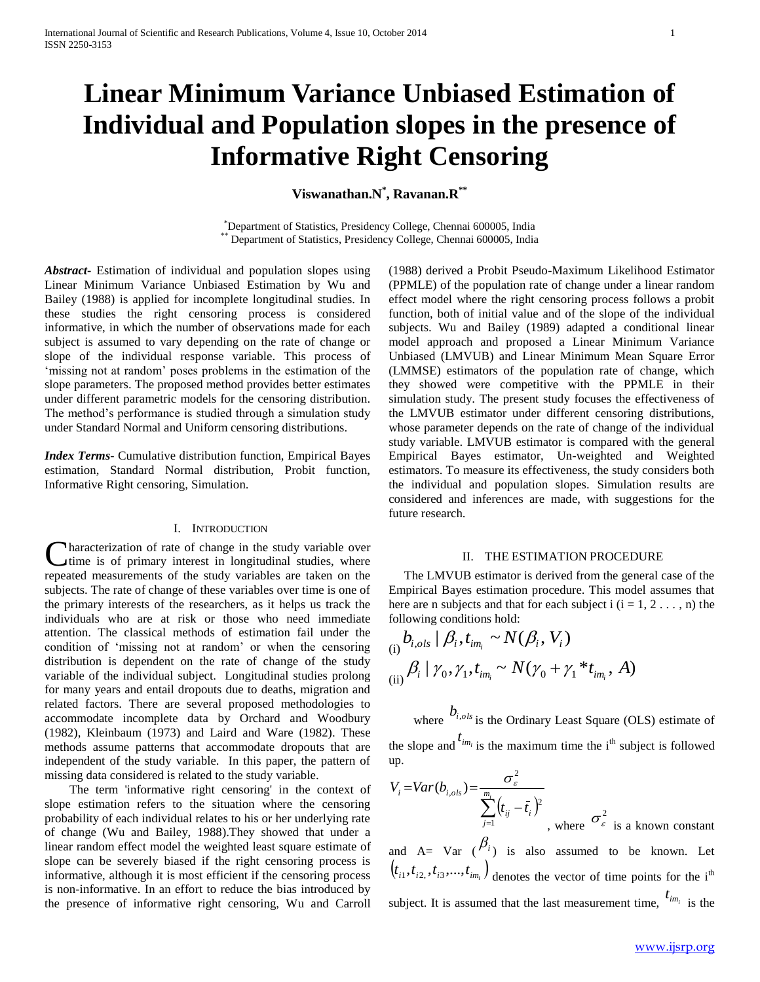# **Linear Minimum Variance Unbiased Estimation of Individual and Population slopes in the presence of Informative Right Censoring**

**Viswanathan.N\* , Ravanan.R\*\***

\*Department of Statistics, Presidency College, Chennai 600005, India \*\* Department of Statistics, Presidency College, Chennai 600005, India

*Abstract***-** Estimation of individual and population slopes using Linear Minimum Variance Unbiased Estimation by Wu and Bailey (1988) is applied for incomplete longitudinal studies. In these studies the right censoring process is considered informative, in which the number of observations made for each subject is assumed to vary depending on the rate of change or slope of the individual response variable. This process of 'missing not at random' poses problems in the estimation of the slope parameters. The proposed method provides better estimates under different parametric models for the censoring distribution. The method's performance is studied through a simulation study under Standard Normal and Uniform censoring distributions.

*Index Terms*- Cumulative distribution function, Empirical Bayes estimation, Standard Normal distribution, Probit function, Informative Right censoring, Simulation.

#### I. INTRODUCTION

Characterization of rate of change in the study variable over time is of primary interest in longitudinal studies, where time is of primary interest in longitudinal studies, where repeated measurements of the study variables are taken on the subjects. The rate of change of these variables over time is one of the primary interests of the researchers, as it helps us track the individuals who are at risk or those who need immediate attention. The classical methods of estimation fail under the condition of 'missing not at random' or when the censoring distribution is dependent on the rate of change of the study variable of the individual subject. Longitudinal studies prolong for many years and entail dropouts due to deaths, migration and related factors. There are several proposed methodologies to accommodate incomplete data by Orchard and Woodbury (1982), Kleinbaum (1973) and Laird and Ware (1982). These methods assume patterns that accommodate dropouts that are independent of the study variable. In this paper, the pattern of missing data considered is related to the study variable.

 The term 'informative right censoring' in the context of slope estimation refers to the situation where the censoring probability of each individual relates to his or her underlying rate of change (Wu and Bailey, 1988).They showed that under a linear random effect model the weighted least square estimate of slope can be severely biased if the right censoring process is informative, although it is most efficient if the censoring process is non-informative. In an effort to reduce the bias introduced by the presence of informative right censoring, Wu and Carroll

(1988) derived a Probit Pseudo-Maximum Likelihood Estimator (PPMLE) of the population rate of change under a linear random effect model where the right censoring process follows a probit function, both of initial value and of the slope of the individual subjects. Wu and Bailey (1989) adapted a conditional linear model approach and proposed a Linear Minimum Variance Unbiased (LMVUB) and Linear Minimum Mean Square Error (LMMSE) estimators of the population rate of change, which they showed were competitive with the PPMLE in their simulation study. The present study focuses the effectiveness of the LMVUB estimator under different censoring distributions, whose parameter depends on the rate of change of the individual study variable. LMVUB estimator is compared with the general Empirical Bayes estimator, Un-weighted and Weighted estimators. To measure its effectiveness, the study considers both the individual and population slopes. Simulation results are considered and inferences are made, with suggestions for the future research.

#### II. THE ESTIMATION PROCEDURE

 The LMVUB estimator is derived from the general case of the Empirical Bayes estimation procedure. This model assumes that here are n subjects and that for each subject i  $(i = 1, 2, \ldots, n)$  the following conditions hold:

(i) 
$$
b_{i,ols} | \beta_i, t_{im_i} \sim N(\beta_i, V_i)
$$
  
\n(ii)  $\beta_i | \gamma_0, \gamma_1, t_{im_i} \sim N(\gamma_0 + \gamma_1 * t_{im_i}, A)$ 

where  $b_{i,ols}$  is the Ordinary Least Square (OLS) estimate of the slope and  $^{t_{im_i}}$  is the maximum time the i<sup>th</sup> subject is followed up.

$$
V_i = Var(b_{i,ols}) = \frac{\sigma_{\varepsilon}^2}{\sum_{j=1}^{m_i} (t_{ij} - \bar{t}_i)^2}
$$
, where  $\sigma_{\varepsilon}^2$  is a known constant

and  $A = Var(\theta_i)$  is also assumed to be known. Let  $(t_{i1}, t_{i2}, t_{i3}, \dots, t_{im_i})$  denotes the vector of time points for the i<sup>th</sup> subject. It is assumed that the last measurement time,  $t_{im_i}$  is the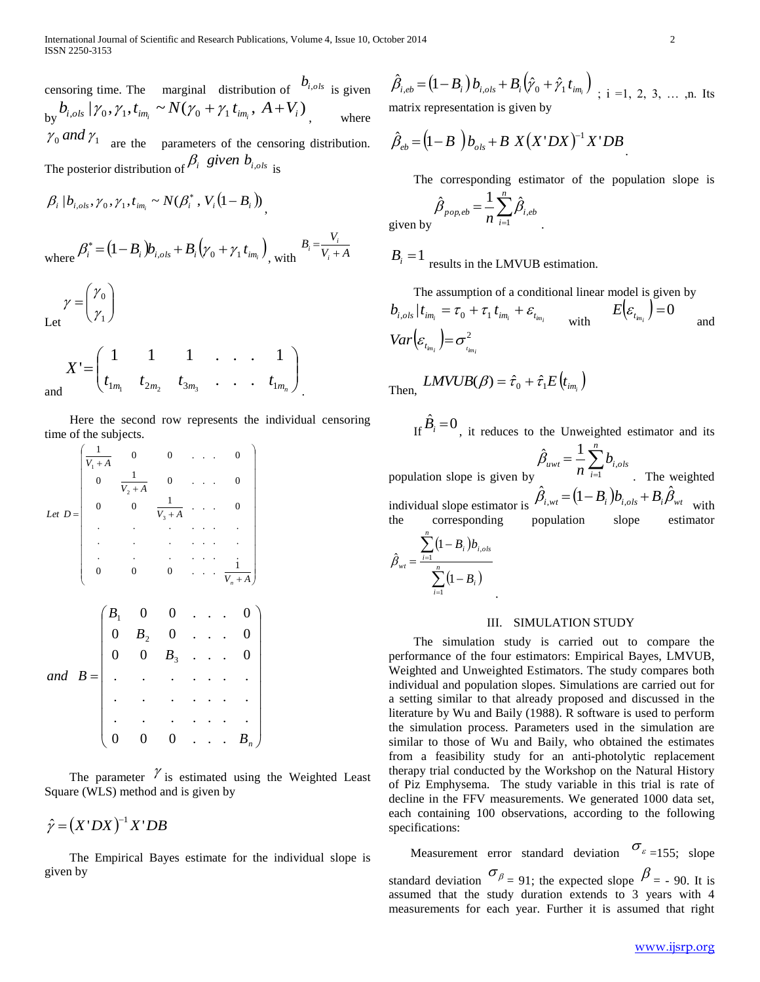censoring time. The marginal distribution of  $b_{i,ols}$  is given  $b_{\rm y} b_{i,ols} | \gamma_{\rm 0}, \gamma_{\rm 1}, t_{i m_i} \sim N(\gamma_{\rm 0} + \gamma_{\rm 1} t_{i m_i}, A + V_i)$ where  $\gamma_0$  and  $\gamma_1$  are the parameters of the censoring distribution. The posterior distribution of  $\beta_i$  given  $b_{i,ols}$  is

$$
\beta_i | b_{i,ols}, \gamma_0, \gamma_1, t_{im_i} \sim N(\beta_i^*, V_i(1 - B_i))
$$
\nwhere 
$$
\beta_i^* = (1 - B_i) b_{i,ols} + B_i (\gamma_0 + \gamma_1 t_{im_i})
$$
, with 
$$
\gamma_0
$$
\n
$$
\gamma_0
$$

Let  $\overline{\phantom{a}}$  $\setminus$  $=$ γ

 $\overline{\phantom{a}}$  $\bigg)$ 

1 0 γ γ

$$
X' = \begin{pmatrix} 1 & 1 & 1 & \cdots & 1 \\ t_{1m_1} & t_{2m_2} & t_{3m_3} & \cdots & t_{1m_n} \end{pmatrix}
$$
 and

 Here the second row represents the individual censoring time of the subjects.

$$
Let D = \begin{pmatrix}\n\frac{1}{V_1 + A} & 0 & 0 & \dots & 0 \\
0 & \frac{1}{V_2 + A} & 0 & \dots & 0 \\
\vdots & \vdots & \vdots & \ddots & \vdots \\
\vdots & \vdots & \vdots & \ddots & \vdots \\
0 & 0 & 0 & \dots & \frac{1}{V_n + A}\n\end{pmatrix}
$$
\nand  $B = \begin{pmatrix}\nB_1 & 0 & 0 & \dots & 0 \\
0 & B_2 & 0 & \dots & 0 \\
\vdots & \vdots & \vdots & \ddots & \vdots \\
0 & 0 & B_3 & \dots & 0 \\
\vdots & \vdots & \vdots & \vdots & \ddots & \vdots \\
0 & 0 & 0 & \dots & B_n\n\end{pmatrix}$ 

The parameter  $\gamma$  is estimated using the Weighted Least Square (WLS) method and is given by

 $\hat{\gamma} = (X'DX)^{-1}X'DB$ 

 The Empirical Bayes estimate for the individual slope is given by

 $\hat{\beta}_{i,eb} = (1-B_i) b_{i,ols} + B_i (\hat{y}_0 + \hat{y}_1 t_{im_i})$ ; i =1, 2, 3, ..., n. Its matrix representation is given by

$$
\hat{\beta}_{eb} = (1 - B) b_{ols} + B X (X'DX)^{-1} X'DB
$$

The corresponding estimator of the population slope is

$$
\hat{\beta}_{pop,eb} = \frac{1}{n} \sum_{i=1}^{n} \hat{\beta}_{i,eb}
$$

give

 $B_i = 1$  results in the LMVUB estimation.

The assumption of a conditional linear model is given by  
\n
$$
b_{i,ols} | t_{im_i} = \tau_0 + \tau_1 t_{im_i} + \varepsilon_{t_{im_i}}
$$
\nwith\n
$$
E(\varepsilon_{t_{im_i}}) = 0
$$
\n
$$
Var(\varepsilon_{t_{im_i}}) = \sigma_{t_{im_i}}^2
$$
\nwith

Then, 
$$
LMVUB(\beta) = \hat{\tau}_0 + \hat{\tau}_1 E(t_{im_i})
$$

.

If  $\hat{B}_i = 0$ , it reduces to the Unweighted estimator and its

population slope is given by  $=\frac{1}{n}\sum_{i=1}^{n}$ *i*  $b_{uvvt} = \frac{1}{n} \sum b_{i,ols}$  $\sum_{i=1}^{\infty} V_i$  $\hat{\beta}_{uvt} = \frac{1}{\sqrt{2\pi}}$ . The weighted individual slope estimator is  $\hat{\beta}_{i, wt} = (1 - B_i) b_{i,ols} + B_i \hat{\beta}_{wt}$  with the corresponding population slope estimator *n*

$$
\hat{\beta}_{wt} = \frac{\sum_{i=1}^{n} (1 - B_i) b_{i,ols}}{\sum_{i=1}^{n} (1 - B_i)}
$$

#### III. SIMULATION STUDY

 The simulation study is carried out to compare the performance of the four estimators: Empirical Bayes, LMVUB, Weighted and Unweighted Estimators. The study compares both individual and population slopes. Simulations are carried out for a setting similar to that already proposed and discussed in the literature by Wu and Baily (1988). R software is used to perform the simulation process. Parameters used in the simulation are similar to those of Wu and Baily, who obtained the estimates from a feasibility study for an anti-photolytic replacement therapy trial conducted by the Workshop on the Natural History of Piz Emphysema. The study variable in this trial is rate of decline in the FFV measurements. We generated 1000 data set, each containing 100 observations, according to the following specifications:

Measurement error standard deviation  $\sigma_{\epsilon=155}$ ; slope standard deviation  $\sigma_{\beta} = 91$ ; the expected slope  $\beta = -90$ . It is assumed that the study duration extends to 3 years with 4 measurements for each year. Further it is assumed that right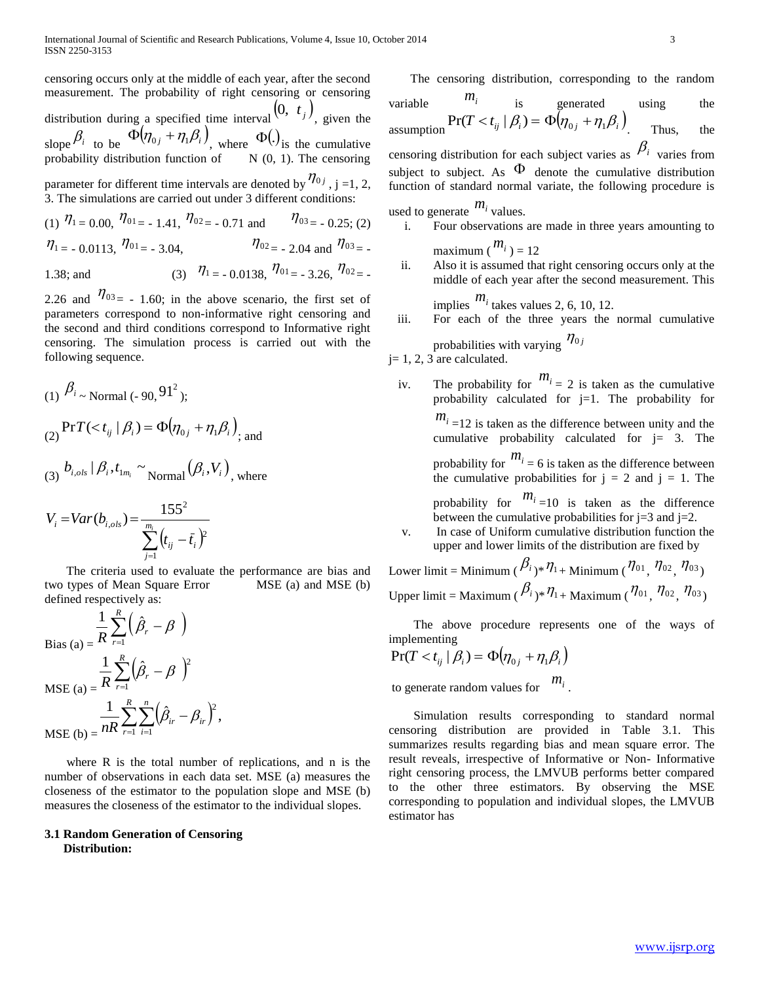censoring occurs only at the middle of each year, after the second measurement. The probability of right censoring or censoring distribution during a specified time interval  $(0, t_j)$ , given the slope  $\beta_i$  to be  $\Phi(\eta_{0j} + \eta_1 \beta_i)$ , where  $\Phi()_{is}$  the cumulative probability distribution function of  $N(0, 1)$ . The censoring parameter for different time intervals are denoted by  $\eta_{0j}$ , j =1, 2, 3. The simulations are carried out under 3 different conditions:

(1)  $\eta_1 = 0.00$ ,  $\eta_0 = -1.41$ ,  $\eta_0 = -0.71$  and  $\eta_0 = -0.25$ ; (2)  $\eta_{1} = -0.0113, \eta_{01} = -3.04,$  $\eta_{02} = -2.04$  and  $\eta_{03} = -$ 1.38; and (3)

$$
\eta_1 = -0.0138, \eta_{01} = -3.26, \eta_{02} = -
$$

2.26 and  $\eta_{03} = -1.60$ ; in the above scenario, the first set of parameters correspond to non-informative right censoring and the second and third conditions correspond to Informative right censoring. The simulation process is carried out with the following sequence.

(1) 
$$
\beta_i
$$
 ~ Normal (-90, 91<sup>2</sup>);  
\n(2)  $\Pr T(< t_{ij} | \beta_i) = \Phi(\eta_{0j} + \eta_1 \beta_i)$  and

$$
_{(3)} b_{i,ols} | \beta_i, t_{1m_i} \sim \text{Normal}(\beta_i, V_i)_{\text{, where}}
$$

$$
V_i = Var(b_{i,ols}) = \frac{155^2}{\sum_{j=1}^{m_i} (t_{ij} - \bar{t}_i)^2}
$$

 The criteria used to evaluate the performance are bias and two types of Mean Square Error MSE (a) and MSE (b) defined respectively as:

$$
\frac{1}{R} \sum_{r=1}^{R} \left( \hat{\beta}_r - \beta \right)
$$
  
\nBias (a) = 
$$
\frac{1}{R} \sum_{r=1}^{R} \left( \hat{\beta}_r - \beta \right)^2
$$
  
\nMSE (a) = 
$$
\frac{1}{R} \sum_{r=1}^{R} \sum_{i=1}^{n} \left( \hat{\beta}_{ir} - \beta_{ir} \right)^2
$$
,  
\nMSE (b) = 
$$
\frac{1}{R} \sum_{r=1}^{R} \sum_{i=1}^{n} \left( \hat{\beta}_{ir} - \beta_{ir} \right)^2
$$
,

 where R is the total number of replications, and n is the number of observations in each data set. MSE (a) measures the closeness of the estimator to the population slope and MSE (b) measures the closeness of the estimator to the individual slopes.

### **3.1 Random Generation of Censoring Distribution:**

The censoring distribution, corresponding to the random

variable 
$$
m_i
$$
 is generated  
assumption  $\Pr(T < t_{ij} | \beta_i) = \Phi(\eta_{0j} + \eta_1 \beta_i)$  Thus, the

censoring distribution for each subject varies as  $\beta_i$  varies from subject to subject. As  $\Phi$  denote the cumulative distribution function of standard normal variate, the following procedure is

used to generate  $m_i$  values.

- i. Four observations are made in three years amounting to maximum  $\binom{m_i}{ }=12$
- ii. Also it is assumed that right censoring occurs only at the middle of each year after the second measurement. This implies  $m_i$  takes values 2, 6, 10, 12.

iii. For each of the three years the normal cumulative

probabilities with varying  $\eta_{0j}$ 

 $j=1, 2, 3$  are calculated.

iv. The probability for  $m_i = 2$  is taken as the cumulative probability calculated for j=1. The probability for *mi*

$$
m_i = 12
$$
 is taken as the difference between unity and the cumulative probability calculated for  $j = 3$ . The

probability for  $m_i$  = 6 is taken as the difference between the cumulative probabilities for  $j = 2$  and  $j = 1$ . The

probability for  $m_i$ <sub> $=10$ </sub> is taken as the difference between the cumulative probabilities for  $j=3$  and  $j=2$ .

v. In case of Uniform cumulative distribution function the upper and lower limits of the distribution are fixed by

Lower limit = Minimum ( $\beta_{i\,}$ \* $\eta_{1+}$  Minimum ( $\eta_{01}$ ,  $\eta_{02}$ ,  $\eta_{03}$ ) Upper limit = Maximum ( $\beta_{i}$ )\*  $\eta_{1+}$  Maximum ( $\eta_{01}$ ,  $\eta_{02}$ ,  $\eta_{03}$ )

 The above procedure represents one of the ways of implementing  $\mathbb{R}^2$ 

$$
\Pr(T < t_{ij} \mid \beta_i) = \Phi(\eta_{0j} + \eta_1 \beta_i)
$$

to generate random values for  $m_i$ .

 Simulation results corresponding to standard normal censoring distribution are provided in Table 3.1. This summarizes results regarding bias and mean square error. The result reveals, irrespective of Informative or Non- Informative right censoring process, the LMVUB performs better compared to the other three estimators. By observing the MSE corresponding to population and individual slopes, the LMVUB estimator has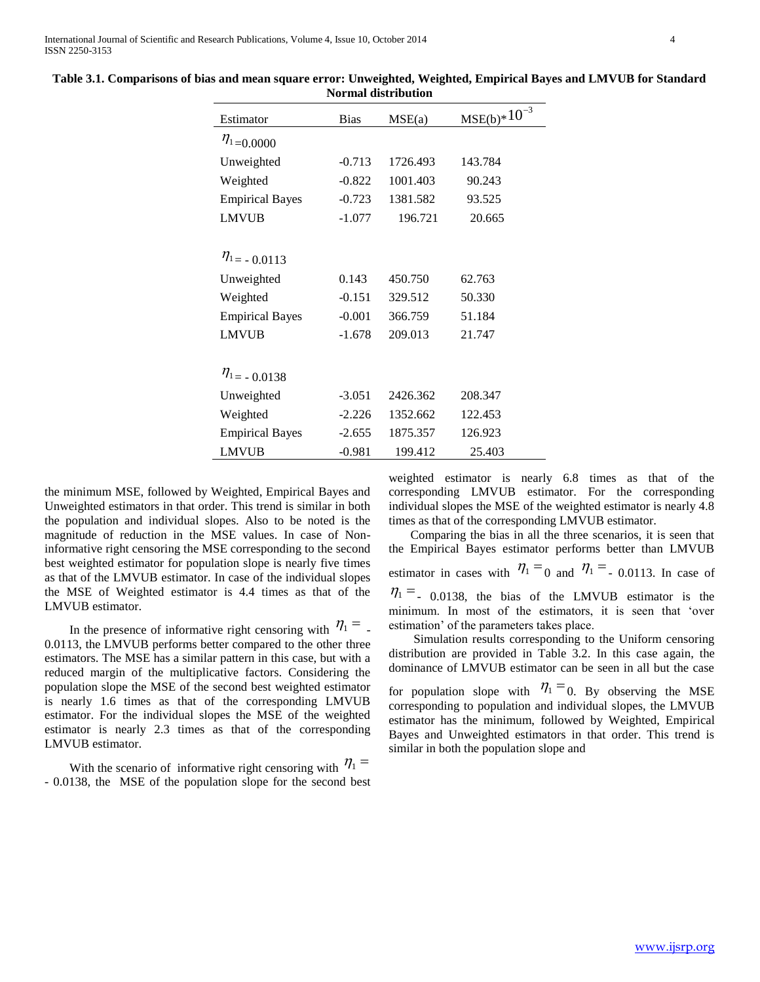| Estimator              | <b>Bias</b> | MSE(a)   | $MSE(b)*10^{-3}$ |
|------------------------|-------------|----------|------------------|
| $\eta_{1}$ = 0.0000    |             |          |                  |
| Unweighted             | $-0.713$    | 1726.493 | 143.784          |
| Weighted               | $-0.822$    | 1001.403 | 90.243           |
| <b>Empirical Bayes</b> | $-0.723$    | 1381.582 | 93.525           |
| <b>LMVUB</b>           | $-1.077$    | 196.721  | 20.665           |
| $\eta_{1} = -0.0113$   |             |          |                  |
| Unweighted             | 0.143       | 450.750  | 62.763           |
| Weighted               | $-0.151$    | 329.512  | 50.330           |
| <b>Empirical Bayes</b> | $-0.001$    | 366.759  | 51.184           |
| <b>LMVUB</b>           | $-1.678$    | 209.013  | 21.747           |
| $\eta_{1} = -0.0138$   |             |          |                  |
| Unweighted             | $-3.051$    | 2426.362 | 208.347          |
| Weighted               | $-2.226$    | 1352.662 | 122.453          |
| <b>Empirical Bayes</b> | $-2.655$    | 1875.357 | 126.923          |
| <b>LMVUB</b>           | $-0.981$    | 199.412  | 25.403           |

**Table 3.1. Comparisons of bias and mean square error: Unweighted, Weighted, Empirical Bayes and LMVUB for Standard Normal distribution**

the minimum MSE, followed by Weighted, Empirical Bayes and Unweighted estimators in that order. This trend is similar in both the population and individual slopes. Also to be noted is the magnitude of reduction in the MSE values. In case of Noninformative right censoring the MSE corresponding to the second best weighted estimator for population slope is nearly five times as that of the LMVUB estimator. In case of the individual slopes the MSE of Weighted estimator is 4.4 times as that of the LMVUB estimator.

In the presence of informative right censoring with  $\eta_1 =$ . 0.0113, the LMVUB performs better compared to the other three estimators. The MSE has a similar pattern in this case, but with a reduced margin of the multiplicative factors. Considering the population slope the MSE of the second best weighted estimator is nearly 1.6 times as that of the corresponding LMVUB estimator. For the individual slopes the MSE of the weighted estimator is nearly 2.3 times as that of the corresponding LMVUB estimator.

With the scenario of informative right censoring with  $\eta_1 =$ - 0.0138, the MSE of the population slope for the second best weighted estimator is nearly 6.8 times as that of the corresponding LMVUB estimator. For the corresponding individual slopes the MSE of the weighted estimator is nearly 4.8 times as that of the corresponding LMVUB estimator.

 Comparing the bias in all the three scenarios, it is seen that the Empirical Bayes estimator performs better than LMVUB estimator in cases with  $\eta_1 = 0$  and  $\eta_1 = 0.0113$ . In case of  $\eta_1 =$  0.0138, the bias of the LMVUB estimator is the minimum. In most of the estimators, it is seen that 'over estimation' of the parameters takes place.

 Simulation results corresponding to the Uniform censoring distribution are provided in Table 3.2. In this case again, the dominance of LMVUB estimator can be seen in all but the case

for population slope with  $\eta_1 = 0$ . By observing the MSE corresponding to population and individual slopes, the LMVUB estimator has the minimum, followed by Weighted, Empirical Bayes and Unweighted estimators in that order. This trend is similar in both the population slope and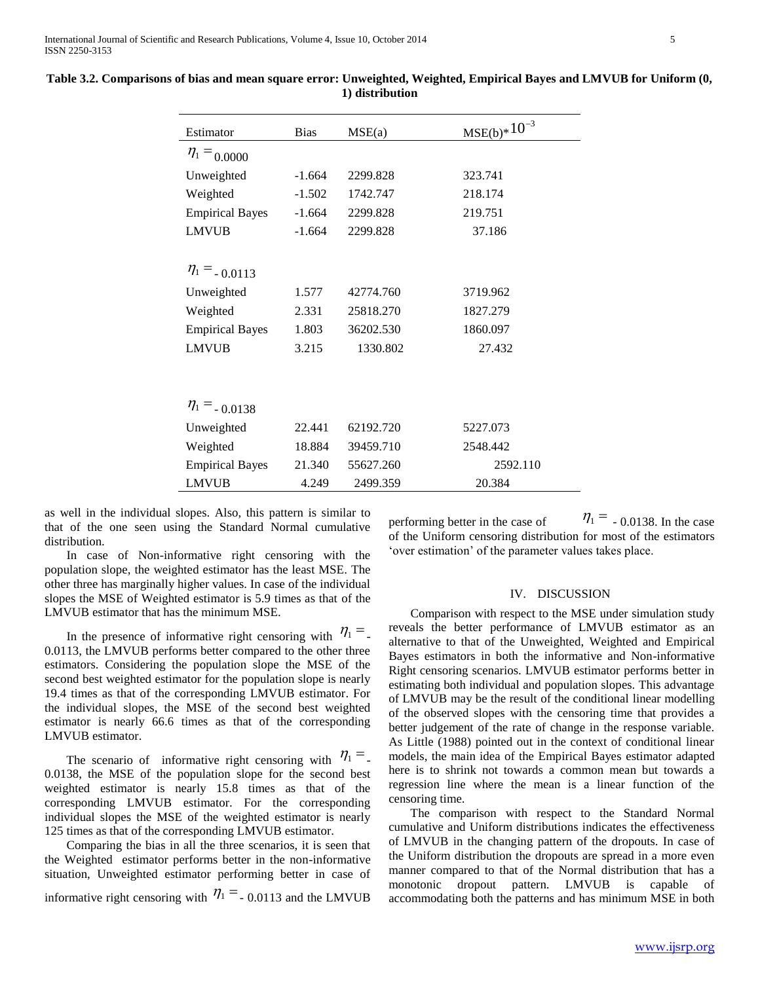International Journal of Scientific and Research Publications, Volume 4, Issue 10, October 2014 5 ISSN 2250-3153

| Estimator              | <b>Bias</b> | MSE(a)    | $MSE(b)*10^{-3}$ |
|------------------------|-------------|-----------|------------------|
| $\eta_1 = 0.0000$      |             |           |                  |
| Unweighted             | $-1.664$    | 2299.828  | 323.741          |
| Weighted               | $-1.502$    | 1742.747  | 218.174          |
| <b>Empirical Bayes</b> | $-1.664$    | 2299.828  | 219.751          |
| <b>LMVUB</b>           | $-1.664$    | 2299.828  | 37.186           |
|                        |             |           |                  |
| $\eta_1 = 0.0113$      |             |           |                  |
| Unweighted             | 1.577       | 42774.760 | 3719.962         |
| Weighted               | 2.331       | 25818.270 | 1827.279         |
| <b>Empirical Bayes</b> | 1.803       | 36202.530 | 1860.097         |
| <b>LMVUB</b>           | 3.215       | 1330.802  | 27.432           |
|                        |             |           |                  |
|                        |             |           |                  |
| $\eta_1 = 0.0138$      |             |           |                  |
| Unweighted             | 22.441      | 62192.720 | 5227.073         |
| Weighted               | 18.884      | 39459.710 | 2548.442         |
| <b>Empirical Bayes</b> | 21.340      | 55627.260 | 2592.110         |
| <b>LMVUB</b>           | 4.249       | 2499.359  | 20.384           |

## **Table 3.2. Comparisons of bias and mean square error: Unweighted, Weighted, Empirical Bayes and LMVUB for Uniform (0, 1) distribution**

as well in the individual slopes. Also, this pattern is similar to that of the one seen using the Standard Normal cumulative distribution.

 In case of Non-informative right censoring with the population slope, the weighted estimator has the least MSE. The other three has marginally higher values. In case of the individual slopes the MSE of Weighted estimator is 5.9 times as that of the LMVUB estimator that has the minimum MSE.

In the presence of informative right censoring with  $\eta_1 =$ . 0.0113, the LMVUB performs better compared to the other three estimators. Considering the population slope the MSE of the second best weighted estimator for the population slope is nearly 19.4 times as that of the corresponding LMVUB estimator. For the individual slopes, the MSE of the second best weighted estimator is nearly 66.6 times as that of the corresponding LMVUB estimator.

The scenario of informative right censoring with  $\eta_1 =$ . 0.0138, the MSE of the population slope for the second best weighted estimator is nearly 15.8 times as that of the corresponding LMVUB estimator. For the corresponding individual slopes the MSE of the weighted estimator is nearly 125 times as that of the corresponding LMVUB estimator.

 Comparing the bias in all the three scenarios, it is seen that the Weighted estimator performs better in the non-informative situation, Unweighted estimator performing better in case of informative right censoring with  $\eta_1 = 0.0113$  and the LMVUB performing better in the case of  $\eta_1 = 0.0138$ . In the case of the Uniform censoring distribution for most of the estimators 'over estimation' of the parameter values takes place.

## IV. DISCUSSION

 Comparison with respect to the MSE under simulation study reveals the better performance of LMVUB estimator as an alternative to that of the Unweighted, Weighted and Empirical Bayes estimators in both the informative and Non-informative Right censoring scenarios. LMVUB estimator performs better in estimating both individual and population slopes. This advantage of LMVUB may be the result of the conditional linear modelling of the observed slopes with the censoring time that provides a better judgement of the rate of change in the response variable. As Little (1988) pointed out in the context of conditional linear models, the main idea of the Empirical Bayes estimator adapted here is to shrink not towards a common mean but towards a regression line where the mean is a linear function of the censoring time.

 The comparison with respect to the Standard Normal cumulative and Uniform distributions indicates the effectiveness of LMVUB in the changing pattern of the dropouts. In case of the Uniform distribution the dropouts are spread in a more even manner compared to that of the Normal distribution that has a monotonic dropout pattern. LMVUB is capable of accommodating both the patterns and has minimum MSE in both